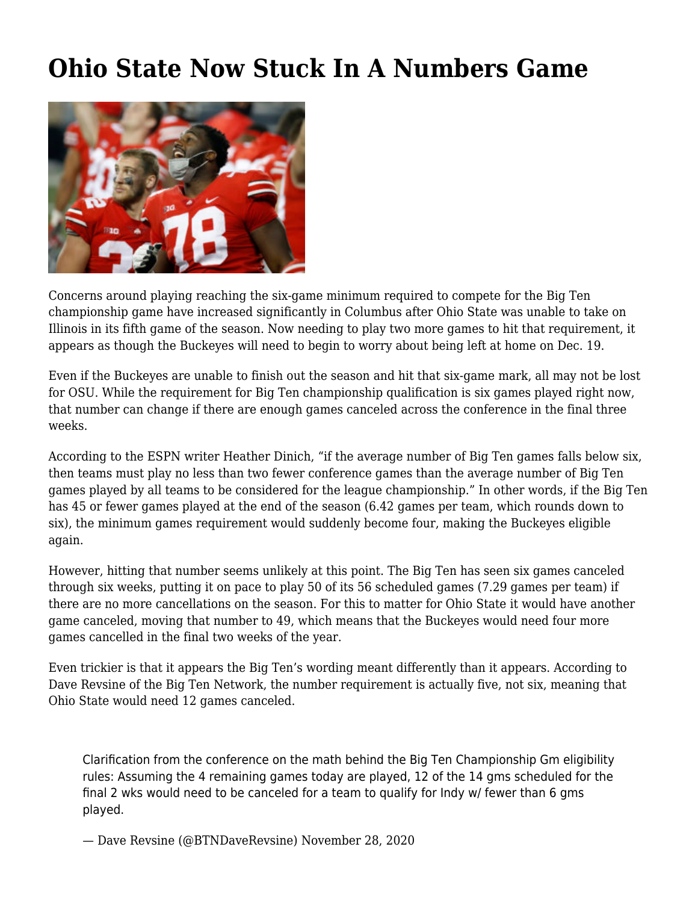## **[Ohio State Now Stuck In A Numbers Game](https://www.buckeyesports.com/ohio-state-now-stuck-in-a-numbers-game/)**



Concerns around playing reaching the six-game minimum required to compete for the Big Ten championship game have increased significantly in Columbus after Ohio State was unable to take on Illinois in its fifth game of the season. Now needing to play two more games to hit that requirement, it appears as though the Buckeyes will need to begin to worry about being left at home on Dec. 19.

Even if the Buckeyes are unable to finish out the season and hit that six-game mark, all may not be lost for OSU. While the requirement for Big Ten championship qualification is six games played right now, that number can change if there are enough games canceled across the conference in the final three weeks.

According to the ESPN writer Heather Dinich, "if the average number of Big Ten games falls below six, then teams must play no less than two fewer conference games than the average number of Big Ten games played by all teams to be considered for the league championship." In other words, if the Big Ten has 45 or fewer games played at the end of the season (6.42 games per team, which rounds down to six), the minimum games requirement would suddenly become four, making the Buckeyes eligible again.

However, hitting that number seems unlikely at this point. The Big Ten has seen six games canceled through six weeks, putting it on pace to play 50 of its 56 scheduled games (7.29 games per team) if there are no more cancellations on the season. For this to matter for Ohio State it would have another game canceled, moving that number to 49, which means that the Buckeyes would need four more games cancelled in the final two weeks of the year.

Even trickier is that it appears the Big Ten's wording meant differently than it appears. According to Dave Revsine of the Big Ten Network, the number requirement is actually five, not six, meaning that Ohio State would need 12 games canceled.

Clarification from the conference on the math behind the Big Ten Championship Gm eligibility rules: Assuming the 4 remaining games today are played, 12 of the 14 gms scheduled for the final 2 wks would need to be canceled for a team to qualify for Indy w/ fewer than 6 gms played.

— Dave Revsine (@BTNDaveRevsine) [November 28, 2020](https://twitter.com/BTNDaveRevsine/status/1332673785665826817?ref_src=twsrc%5Etfw)